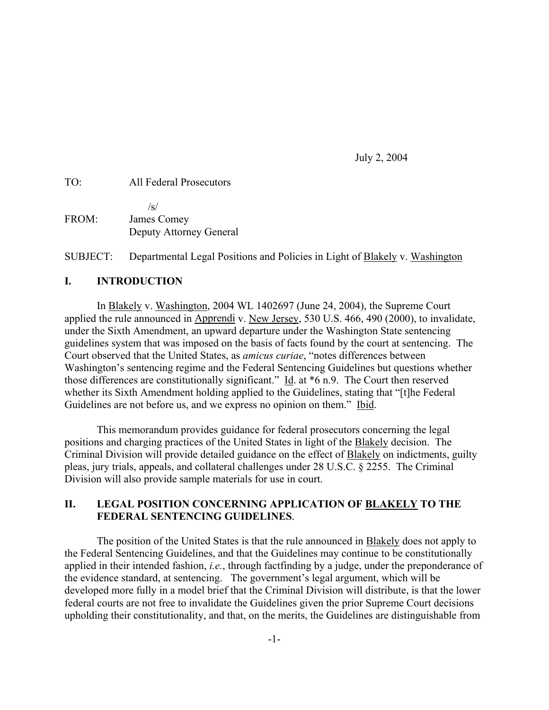July 2, 2004

TO: All Federal Prosecutors

 $\sqrt{s}$ FROM: James Comey Deputy Attorney General

SUBJECT: Departmental Legal Positions and Policies in Light of Blakely v. Washington

#### **I. INTRODUCTION**

 In Blakely v. Washington, 2004 WL 1402697 (June 24, 2004), the Supreme Court applied the rule announced in Apprendi v. New Jersey, 530 U.S. 466, 490 (2000), to invalidate, under the Sixth Amendment, an upward departure under the Washington State sentencing guidelines system that was imposed on the basis of facts found by the court at sentencing. The Court observed that the United States, as *amicus curiae*, "notes differences between Washington's sentencing regime and the Federal Sentencing Guidelines but questions whether those differences are constitutionally significant." Id. at \*6 n.9. The Court then reserved whether its Sixth Amendment holding applied to the Guidelines, stating that "[t]he Federal Guidelines are not before us, and we express no opinion on them." Ibid.

 This memorandum provides guidance for federal prosecutors concerning the legal positions and charging practices of the United States in light of the Blakely decision. The Criminal Division will provide detailed guidance on the effect of Blakely on indictments, guilty pleas, jury trials, appeals, and collateral challenges under 28 U.S.C. § 2255. The Criminal Division will also provide sample materials for use in court.

## **II. LEGAL POSITION CONCERNING APPLICATION OF BLAKELY TO THE FEDERAL SENTENCING GUIDELINES**.

 The position of the United States is that the rule announced in Blakely does not apply to the Federal Sentencing Guidelines, and that the Guidelines may continue to be constitutionally applied in their intended fashion, *i.e.*, through factfinding by a judge, under the preponderance of the evidence standard, at sentencing. The government's legal argument, which will be developed more fully in a model brief that the Criminal Division will distribute, is that the lower federal courts are not free to invalidate the Guidelines given the prior Supreme Court decisions upholding their constitutionality, and that, on the merits, the Guidelines are distinguishable from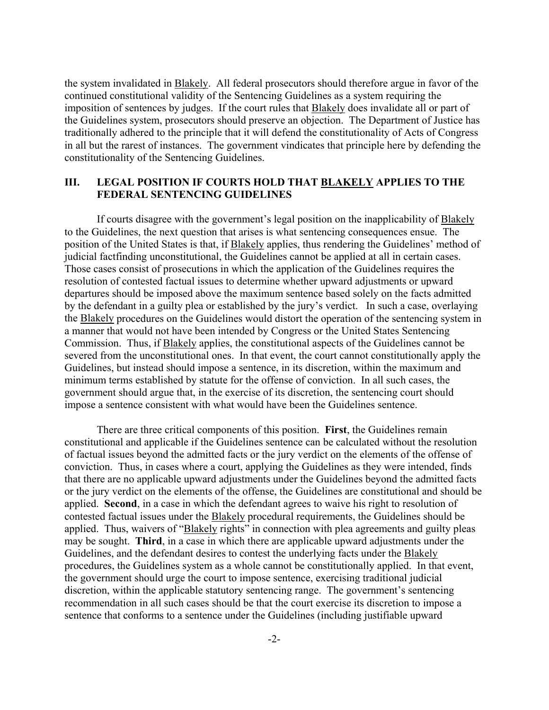the system invalidated in Blakely. All federal prosecutors should therefore argue in favor of the continued constitutional validity of the Sentencing Guidelines as a system requiring the imposition of sentences by judges. If the court rules that Blakely does invalidate all or part of the Guidelines system, prosecutors should preserve an objection. The Department of Justice has traditionally adhered to the principle that it will defend the constitutionality of Acts of Congress in all but the rarest of instances. The government vindicates that principle here by defending the constitutionality of the Sentencing Guidelines.

#### **III. LEGAL POSITION IF COURTS HOLD THAT BLAKELY APPLIES TO THE FEDERAL SENTENCING GUIDELINES**

If courts disagree with the government's legal position on the inapplicability of Blakely to the Guidelines, the next question that arises is what sentencing consequences ensue. The position of the United States is that, if Blakely applies, thus rendering the Guidelines' method of judicial factfinding unconstitutional, the Guidelines cannot be applied at all in certain cases. Those cases consist of prosecutions in which the application of the Guidelines requires the resolution of contested factual issues to determine whether upward adjustments or upward departures should be imposed above the maximum sentence based solely on the facts admitted by the defendant in a guilty plea or established by the jury's verdict. In such a case, overlaying the Blakely procedures on the Guidelines would distort the operation of the sentencing system in a manner that would not have been intended by Congress or the United States Sentencing Commission. Thus, if Blakely applies, the constitutional aspects of the Guidelines cannot be severed from the unconstitutional ones. In that event, the court cannot constitutionally apply the Guidelines, but instead should impose a sentence, in its discretion, within the maximum and minimum terms established by statute for the offense of conviction. In all such cases, the government should argue that, in the exercise of its discretion, the sentencing court should impose a sentence consistent with what would have been the Guidelines sentence.

There are three critical components of this position. **First**, the Guidelines remain constitutional and applicable if the Guidelines sentence can be calculated without the resolution of factual issues beyond the admitted facts or the jury verdict on the elements of the offense of conviction. Thus, in cases where a court, applying the Guidelines as they were intended, finds that there are no applicable upward adjustments under the Guidelines beyond the admitted facts or the jury verdict on the elements of the offense, the Guidelines are constitutional and should be applied. **Second**, in a case in which the defendant agrees to waive his right to resolution of contested factual issues under the Blakely procedural requirements, the Guidelines should be applied. Thus, waivers of "Blakely rights" in connection with plea agreements and guilty pleas may be sought. **Third**, in a case in which there are applicable upward adjustments under the Guidelines, and the defendant desires to contest the underlying facts under the Blakely procedures, the Guidelines system as a whole cannot be constitutionally applied. In that event, the government should urge the court to impose sentence, exercising traditional judicial discretion, within the applicable statutory sentencing range. The government's sentencing recommendation in all such cases should be that the court exercise its discretion to impose a sentence that conforms to a sentence under the Guidelines (including justifiable upward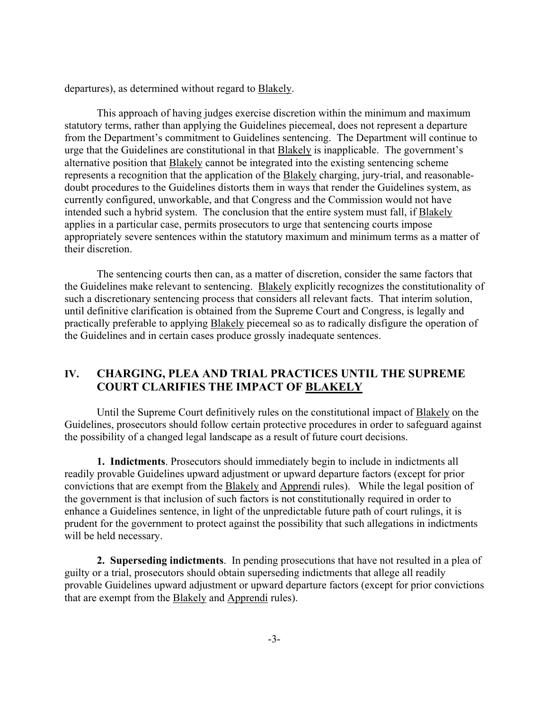departures), as determined without regard to Blakely.

This approach of having judges exercise discretion within the minimum and maximum statutory terms, rather than applying the Guidelines piecemeal, does not represent a departure from the Department's commitment to Guidelines sentencing. The Department will continue to urge that the Guidelines are constitutional in that Blakely is inapplicable. The government's alternative position that Blakely cannot be integrated into the existing sentencing scheme represents a recognition that the application of the Blakely charging, jury-trial, and reasonabledoubt procedures to the Guidelines distorts them in ways that render the Guidelines system, as currently configured, unworkable, and that Congress and the Commission would not have intended such a hybrid system. The conclusion that the entire system must fall, if Blakely applies in a particular case, permits prosecutors to urge that sentencing courts impose appropriately severe sentences within the statutory maximum and minimum terms as a matter of their discretion.

The sentencing courts then can, as a matter of discretion, consider the same factors that the Guidelines make relevant to sentencing. Blakely explicitly recognizes the constitutionality of such a discretionary sentencing process that considers all relevant facts. That interim solution, until definitive clarification is obtained from the Supreme Court and Congress, is legally and practically preferable to applying Blakely piecemeal so as to radically disfigure the operation of the Guidelines and in certain cases produce grossly inadequate sentences.

# **IV. CHARGING, PLEA AND TRIAL PRACTICES UNTIL THE SUPREME COURT CLARIFIES THE IMPACT OF BLAKELY**

Until the Supreme Court definitively rules on the constitutional impact of Blakely on the Guidelines, prosecutors should follow certain protective procedures in order to safeguard against the possibility of a changed legal landscape as a result of future court decisions.

**1. Indictments**. Prosecutors should immediately begin to include in indictments all readily provable Guidelines upward adjustment or upward departure factors (except for prior convictions that are exempt from the Blakely and Apprendi rules). While the legal position of the government is that inclusion of such factors is not constitutionally required in order to enhance a Guidelines sentence, in light of the unpredictable future path of court rulings, it is prudent for the government to protect against the possibility that such allegations in indictments will be held necessary.

**2. Superseding indictments**. In pending prosecutions that have not resulted in a plea of guilty or a trial, prosecutors should obtain superseding indictments that allege all readily provable Guidelines upward adjustment or upward departure factors (except for prior convictions that are exempt from the Blakely and Apprendi rules).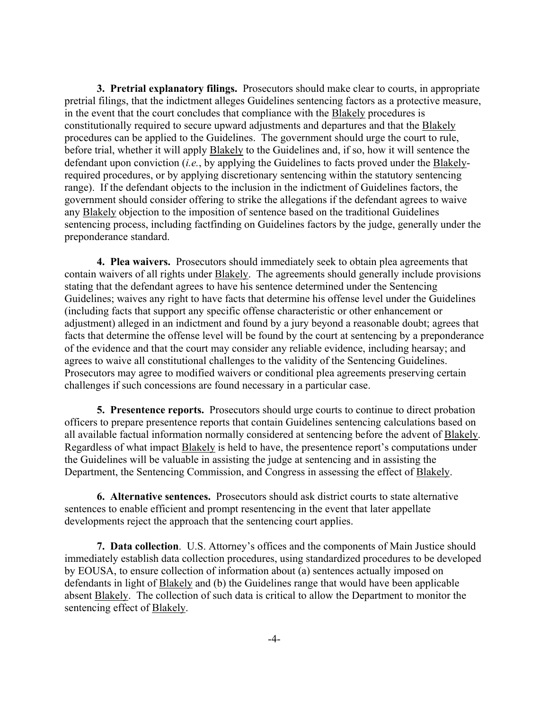**3. Pretrial explanatory filings.** Prosecutors should make clear to courts, in appropriate pretrial filings, that the indictment alleges Guidelines sentencing factors as a protective measure, in the event that the court concludes that compliance with the Blakely procedures is constitutionally required to secure upward adjustments and departures and that the Blakely procedures can be applied to the Guidelines. The government should urge the court to rule, before trial, whether it will apply Blakely to the Guidelines and, if so, how it will sentence the defendant upon conviction (*i.e.*, by applying the Guidelines to facts proved under the Blakelyrequired procedures, or by applying discretionary sentencing within the statutory sentencing range). If the defendant objects to the inclusion in the indictment of Guidelines factors, the government should consider offering to strike the allegations if the defendant agrees to waive any Blakely objection to the imposition of sentence based on the traditional Guidelines sentencing process, including factfinding on Guidelines factors by the judge, generally under the preponderance standard.

**4. Plea waivers.** Prosecutors should immediately seek to obtain plea agreements that contain waivers of all rights under Blakely. The agreements should generally include provisions stating that the defendant agrees to have his sentence determined under the Sentencing Guidelines; waives any right to have facts that determine his offense level under the Guidelines (including facts that support any specific offense characteristic or other enhancement or adjustment) alleged in an indictment and found by a jury beyond a reasonable doubt; agrees that facts that determine the offense level will be found by the court at sentencing by a preponderance of the evidence and that the court may consider any reliable evidence, including hearsay; and agrees to waive all constitutional challenges to the validity of the Sentencing Guidelines. Prosecutors may agree to modified waivers or conditional plea agreements preserving certain challenges if such concessions are found necessary in a particular case.

**5. Presentence reports.** Prosecutors should urge courts to continue to direct probation officers to prepare presentence reports that contain Guidelines sentencing calculations based on all available factual information normally considered at sentencing before the advent of Blakely. Regardless of what impact Blakely is held to have, the presentence report's computations under the Guidelines will be valuable in assisting the judge at sentencing and in assisting the Department, the Sentencing Commission, and Congress in assessing the effect of Blakely.

**6. Alternative sentences.** Prosecutors should ask district courts to state alternative sentences to enable efficient and prompt resentencing in the event that later appellate developments reject the approach that the sentencing court applies.

**7. Data collection**. U.S. Attorney's offices and the components of Main Justice should immediately establish data collection procedures, using standardized procedures to be developed by EOUSA, to ensure collection of information about (a) sentences actually imposed on defendants in light of Blakely and (b) the Guidelines range that would have been applicable absent Blakely. The collection of such data is critical to allow the Department to monitor the sentencing effect of Blakely.